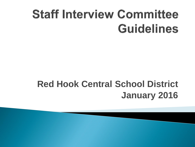# **Staff Interview Committee Guidelines**

#### **Red Hook Central School District January 2016**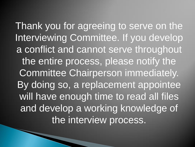Thank you for agreeing to serve on the Interviewing Committee. If you develop a conflict and cannot serve throughout the entire process, please notify the Committee Chairperson immediately. By doing so, a replacement appointee will have enough time to read all files and develop a working knowledge of the interview process.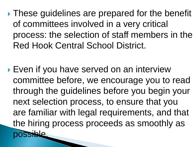**These guidelines are prepared for the benefit** of committees involved in a very critical process: the selection of staff members in the Red Hook Central School District.

▶ Even if you have served on an interview committee before, we encourage you to read through the guidelines before you begin your next selection process, to ensure that you are familiar with legal requirements, and that the hiring process proceeds as smoothly as ble.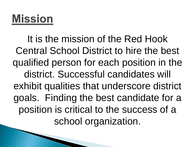## **Mission**

It is the mission of the Red Hook Central School District to hire the best qualified person for each position in the district. Successful candidates will exhibit qualities that underscore district goals. Finding the best candidate for a position is critical to the success of a school organization.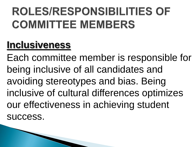# **ROLES/RESPONSIBILITIES OF COMMITTEE MEMBERS**

#### **Inclusiveness**

Each committee member is responsible for being inclusive of all candidates and avoiding stereotypes and bias. Being inclusive of cultural differences optimizes our effectiveness in achieving student success.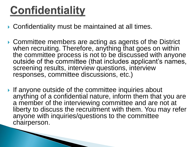## **Confidentiality**

**The Communication of the Communication** 

- ▶ Confidentiality must be maintained at all times.
- ▶ Committee members are acting as agents of the District when recruiting. Therefore, anything that goes on within the committee process is not to be discussed with anyone outside of the committee (that includes applicant's names, screening results, interview questions, interview responses, committee discussions, etc.)
- If anyone outside of the committee inquiries about anything of a confidential nature, inform them that you are a member of the interviewing committee and are not at liberty to discuss the recruitment with them. You may refer anyone with inquiries/questions to the committee chairperson.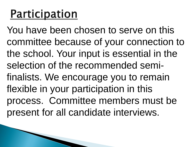## **Participation**

You have been chosen to serve on this committee because of your connection to the school. Your input is essential in the selection of the recommended semifinalists. We encourage you to remain flexible in your participation in this process. Committee members must be present for all candidate interviews.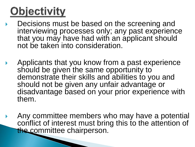# **Objectivity**

- Decisions must be based on the screening and interviewing processes only; any past experience that you may have had with an applicant should not be taken into consideration.
- Applicants that you know from a past experience should be given the same opportunity to demonstrate their skills and abilities to you and should not be given any unfair advantage or disadvantage based on your prior experience with them.
- Any committee members who may have a potential conflict of interest must bring this to the attention of the committee chairperson.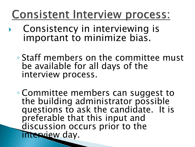### **Consistent Interview process:**

- Consistency in interviewing is important to minimize bias.
- Staff members on the committee must be available for all days of the interview process.
- Committee members can suggest to the building administrator possible questions to ask the candidate. It is preferable that this input and discussion occurs prior to the interview day.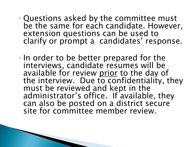- Questions asked by the committee must be the same for each candidate. However, extension questions can be used to clarify or prompt a candidates' response.
- In order to be better prepared for the interviews, candidate resumes will be available for review prior to the day of the interview. Due to confidentiality, they must be reviewed and kept in the administrator's office. If available, they can also be posted on a district secure site for committee member review.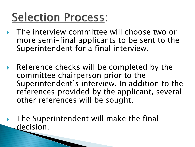# **Selection Process:**

- ▶ The interview committee will choose two or more semi-final applicants to be sent to the Superintendent for a final interview.
- ▶ Reference checks will be completed by the committee chairperson prior to the Superintendent's interview. In addition to the references provided by the applicant, several other references will be sought.
- The Superintendent will make the final decision.